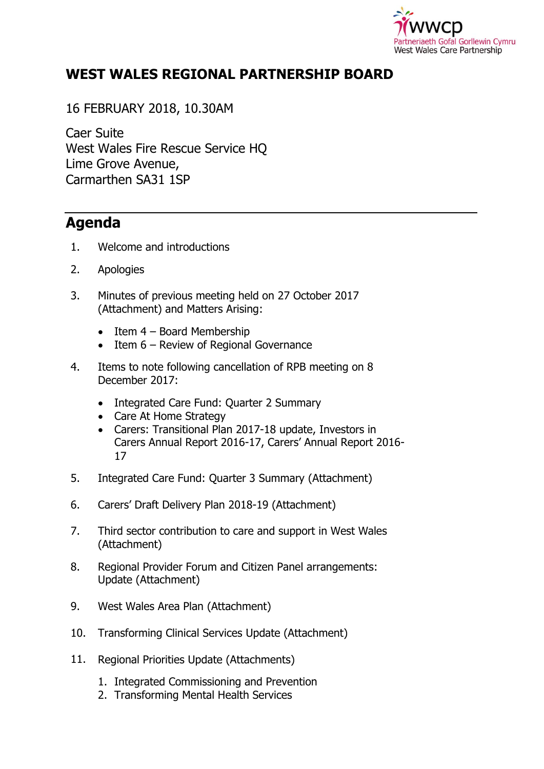

## **WEST WALES REGIONAL PARTNERSHIP BOARD**

16 FEBRUARY 2018, 10.30AM

Caer Suite West Wales Fire Rescue Service HQ Lime Grove Avenue, Carmarthen SA31 1SP

## **Agenda**

- 1. Welcome and introductions
- 2. Apologies
- 3. Minutes of previous meeting held on 27 October 2017 (Attachment) and Matters Arising:
	- $\bullet$  Item 4 Board Membership
	- Item 6 Review of Regional Governance
- 4. Items to note following cancellation of RPB meeting on 8 December 2017:
	- Integrated Care Fund: Quarter 2 Summary
	- Care At Home Strategy
	- Carers: Transitional Plan 2017-18 update, Investors in Carers Annual Report 2016-17, Carers' Annual Report 2016- 17
- 5. Integrated Care Fund: Quarter 3 Summary (Attachment)
- 6. Carers' Draft Delivery Plan 2018-19 (Attachment)
- 7. Third sector contribution to care and support in West Wales (Attachment)
- 8. Regional Provider Forum and Citizen Panel arrangements: Update (Attachment)
- 9. West Wales Area Plan (Attachment)
- 10. Transforming Clinical Services Update (Attachment)
- 11. Regional Priorities Update (Attachments)
	- 1. Integrated Commissioning and Prevention
	- 2. Transforming Mental Health Services